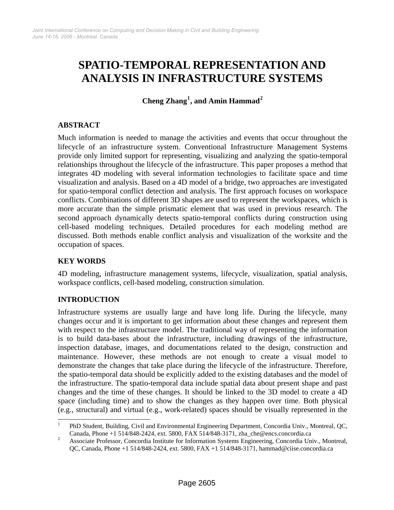# **SPATIO-TEMPORAL REPRESENTATION AND ANALYSIS IN INFRASTRUCTURE SYSTEMS**

**Cheng Zhang[1](#page-0-0) , and Amin Hammad[2](#page-0-1)**

## **ABSTRACT**

Much information is needed to manage the activities and events that occur throughout the lifecycle of an infrastructure system. Conventional Infrastructure Management Systems provide only limited support for representing, visualizing and analyzing the spatio-temporal relationships throughout the lifecycle of the infrastructure. This paper proposes a method that integrates 4D modeling with several information technologies to facilitate space and time visualization and analysis. Based on a 4D model of a bridge, two approaches are investigated for spatio-temporal conflict detection and analysis. The first approach focuses on workspace conflicts. Combinations of different 3D shapes are used to represent the workspaces, which is more accurate than the simple prismatic element that was used in previous research. The second approach dynamically detects spatio-temporal conflicts during construction using cell-based modeling techniques. Detailed procedures for each modeling method are discussed. Both methods enable conflict analysis and visualization of the worksite and the occupation of spaces.

## **KEY WORDS**

4D modeling, infrastructure management systems, lifecycle, visualization, spatial analysis, workspace conflicts, cell-based modeling, construction simulation.

# **INTRODUCTION**

 $\overline{a}$ 

Infrastructure systems are usually large and have long life. During the lifecycle, many changes occur and it is important to get information about these changes and represent them with respect to the infrastructure model. The traditional way of representing the information is to build data-bases about the infrastructure, including drawings of the infrastructure, inspection database, images, and documentations related to the design, construction and maintenance. However, these methods are not enough to create a visual model to demonstrate the changes that take place during the lifecycle of the infrastructure. Therefore, the spatio-temporal data should be explicitly added to the existing databases and the model of the infrastructure. The spatio-temporal data include spatial data about present shape and past changes and the time of these changes. It should be linked to the 3D model to create a 4D space (including time) and to show the changes as they happen over time. Both physical (e.g., structural) and virtual (e.g., work-related) spaces should be visually represented in the

<span id="page-0-0"></span><sup>1</sup> PhD Student, Building, Civil and Environmental Engineering Department, Concordia Univ., Montreal, QC, Canada, Phone +1 514/848-2424, ext. 5800, FAX 514/848-3171, zha\_che@encs.concordia.ca 2

<span id="page-0-1"></span>Associate Professor, Concordia Institute for Information Systems Engineering, Concordia Univ., Montreal, QC, Canada, Phone +1 514/848-2424, ext. 5800, FAX +1 514/848-3171, hammad@ciise.concordia.ca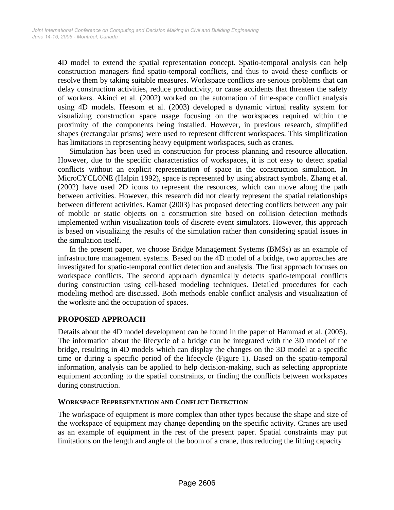4D model to extend the spatial representation concept. Spatio-temporal analysis can help construction managers find spatio-temporal conflicts, and thus to avoid these conflicts or resolve them by taking suitable measures. Workspace conflicts are serious problems that can delay construction activities, reduce productivity, or cause accidents that threaten the safety of workers. Akinci et al. (2002) worked on the automation of time-space conflict analysis using 4D models. Heesom et al. (2003) developed a dynamic virtual reality system for visualizing construction space usage focusing on the workspaces required within the proximity of the components being installed. However, in previous research, simplified shapes (rectangular prisms) were used to represent different workspaces. This simplification has limitations in representing heavy equipment workspaces, such as cranes.

Simulation has been used in construction for process planning and resource allocation. However, due to the specific characteristics of workspaces, it is not easy to detect spatial conflicts without an explicit representation of space in the construction simulation. In MicroCYCLONE (Halpin 1992), space is represented by using abstract symbols. Zhang et al. (2002) have used 2D icons to represent the resources, which can move along the path between activities. However, this research did not clearly represent the spatial relationships between different activities. Kamat (2003) has proposed detecting conflicts between any pair of mobile or static objects on a construction site based on collision detection methods implemented within visualization tools of discrete event simulators. However, this approach is based on visualizing the results of the simulation rather than considering spatial issues in the simulation itself.

In the present paper, we choose Bridge Management Systems (BMSs) as an example of infrastructure management systems. Based on the 4D model of a bridge, two approaches are investigated for spatio-temporal conflict detection and analysis. The first approach focuses on workspace conflicts. The second approach dynamically detects spatio-temporal conflicts during construction using cell-based modeling techniques. Detailed procedures for each modeling method are discussed. Both methods enable conflict analysis and visualization of the worksite and the occupation of spaces.

# **PROPOSED APPROACH**

Details about the 4D model development can be found in the paper of Hammad et al. (2005). The information about the lifecycle of a bridge can be integrated with the 3D model of the bridge, resulting in 4D models which can display the changes on the 3D model at a specific time or during a specific period of the lifecycle (Figure 1). Based on the spatio-temporal information, analysis can be applied to help decision-making, such as selecting appropriate equipment according to the spatial constraints, or finding the conflicts between workspaces during construction.

#### **WORKSPACE REPRESENTATION AND CONFLICT DETECTION**

The workspace of equipment is more complex than other types because the shape and size of the workspace of equipment may change depending on the specific activity. Cranes are used as an example of equipment in the rest of the present paper. Spatial constraints may put limitations on the length and angle of the boom of a crane, thus reducing the lifting capacity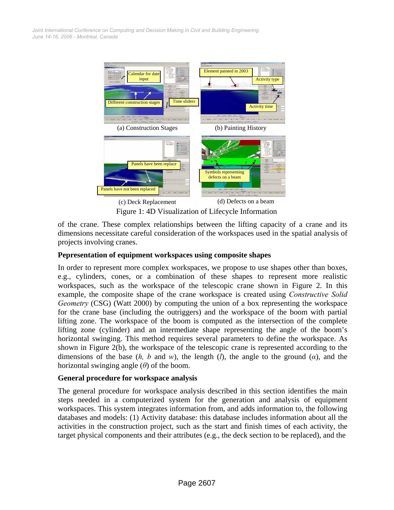

Figure 1: 4D Visualization of Lifecycle Information

of the crane. These complex relationships between the lifting capacity of a crane and its dimensions necessitate careful consideration of the workspaces used in the spatial analysis of projects involving cranes.

## **Pepresentation of equipment workspaces using composite shapes**

In order to represent more complex workspaces, we propose to use shapes other than boxes, e.g., cylinders, cones, or a combination of these shapes to represent more realistic workspaces, such as the workspace of the telescopic crane shown in Figure 2. In this example, the composite shape of the crane workspace is created using *Constructive Solid Geometry* (CSG) (Watt 2000) by computing the union of a box representing the workspace for the crane base (including the outriggers) and the workspace of the boom with partial lifting zone. The workspace of the boom is computed as the intersection of the complete lifting zone (cylinder) and an intermediate shape representing the angle of the boom's horizontal swinging. This method requires several parameters to define the workspace. As shown in Figure 2(b), the workspace of the telescopic crane is represented according to the dimensions of the base (*h, b* and *w*), the length (*l*), the angle to the ground (*α*), and the horizontal swinging angle (*θ*) of the boom.

## **General procedure for workspace analysis**

The general procedure for workspace analysis described in this section identifies the main steps needed in a computerized system for the generation and analysis of equipment workspaces. This system integrates information from, and adds information to, the following databases and models: (1) Activity database: this database includes information about all the activities in the construction project, such as the start and finish times of each activity, the target physical components and their attributes (e.g., the deck section to be replaced), and the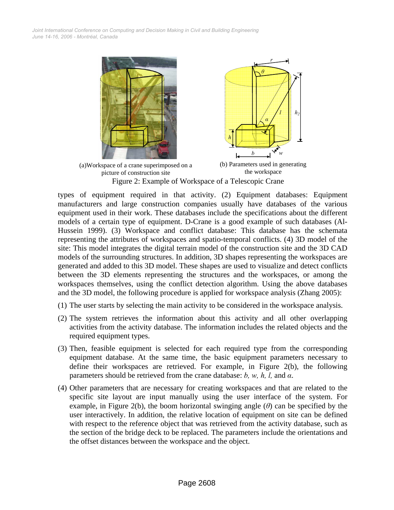

types of equipment required in that activity. (2) Equipment databases: Equipment manufacturers and large construction companies usually have databases of the various equipment used in their work. These databases include the specifications about the different models of a certain type of equipment. D-Crane is a good example of such databases (Al-Hussein 1999). (3) Workspace and conflict database: This database has the schemata representing the attributes of workspaces and spatio-temporal conflicts. (4) 3D model of the site: This model integrates the digital terrain model of the construction site and the 3D CAD models of the surrounding structures. In addition, 3D shapes representing the workspaces are generated and added to this 3D model. These shapes are used to visualize and detect conflicts between the 3D elements representing the structures and the workspaces, or among the workspaces themselves, using the conflict detection algorithm. Using the above databases and the 3D model, the following procedure is applied for workspace analysis (Zhang 2005):

- (1) The user starts by selecting the main activity to be considered in the workspace analysis.
- (2) The system retrieves the information about this activity and all other overlapping activities from the activity database. The information includes the related objects and the required equipment types.
- (3) Then, feasible equipment is selected for each required type from the corresponding equipment database. At the same time, the basic equipment parameters necessary to define their workspaces are retrieved. For example, in Figure 2(b), the following parameters should be retrieved from the crane database: *b, w, h, l,* and *α*.
- (4) Other parameters that are necessary for creating workspaces and that are related to the specific site layout are input manually using the user interface of the system. For example, in Figure 2(b), the boom horizontal swinging angle  $(\theta)$  can be specified by the user interactively. In addition, the relative location of equipment on site can be defined with respect to the reference object that was retrieved from the activity database, such as the section of the bridge deck to be replaced. The parameters include the orientations and the offset distances between the workspace and the object.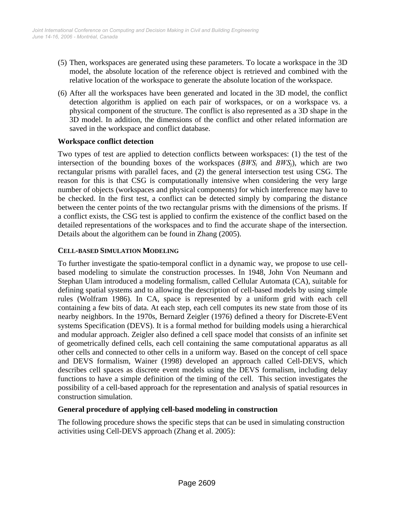- (5) Then, workspaces are generated using these parameters. To locate a workspace in the 3D model, the absolute location of the reference object is retrieved and combined with the relative location of the workspace to generate the absolute location of the workspace.
- (6) After all the workspaces have been generated and located in the 3D model, the conflict detection algorithm is applied on each pair of workspaces, or on a workspace vs. a physical component of the structure. The conflict is also represented as a 3D shape in the 3D model. In addition, the dimensions of the conflict and other related information are saved in the workspace and conflict database.

## **Workspace conflict detection**

Two types of test are applied to detection conflicts between workspaces: (1) the test of the intersection of the bounding boxes of the workspaces  $(BWS<sub>i</sub>)$  and  $BWS<sub>i</sub>)$ , which are two rectangular prisms with parallel faces, and (2) the general intersection test using CSG. The reason for this is that CSG is computationally intensive when considering the very large number of objects (workspaces and physical components) for which interference may have to be checked. In the first test, a conflict can be detected simply by comparing the distance between the center points of the two rectangular prisms with the dimensions of the prisms. If a conflict exists, the CSG test is applied to confirm the existence of the conflict based on the detailed representations of the workspaces and to find the accurate shape of the intersection. Details about the algorithem can be found in Zhang (2005).

## **CELL-BASED SIMULATION MODELING**

To further investigate the spatio-temporal conflict in a dynamic way, we propose to use cellbased modeling to simulate the construction processes. In 1948, John Von Neumann and Stephan Ulam introduced a modeling formalism, called Cellular Automata (CA), suitable for defining spatial systems and to allowing the description of cell-based models by using simple rules (Wolfram 1986). In CA, space is represented by a uniform grid with each cell containing a few bits of data. At each step, each cell computes its new state from those of its nearby neighbors. In the 1970s, Bernard Zeigler (1976) defined a theory for Discrete-EVent systems Specification (DEVS). It is a formal method for building models using a hierarchical and modular approach. Zeigler also defined a cell space model that consists of an infinite set of geometrically defined cells, each cell containing the same computational apparatus as all other cells and connected to other cells in a uniform way. Based on the concept of cell space and DEVS formalism, Wainer (1998) developed an approach called Cell-DEVS, which describes cell spaces as discrete event models using the DEVS formalism, including delay functions to have a simple definition of the timing of the cell. This section investigates the possibility of a cell-based approach for the representation and analysis of spatial resources in construction simulation.

## **General procedure of applying cell-based modeling in construction**

The following procedure shows the specific steps that can be used in simulating construction activities using Cell-DEVS approach (Zhang et al. 2005):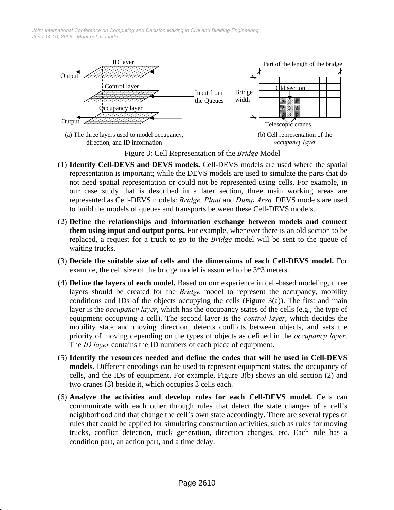

Figure 3: Cell Representation of the *Bridge* Model

- (1) **Identify Cell-DEVS and DEVS models.** Cell-DEVS models are used where the spatial representation is important; while the DEVS models are used to simulate the parts that do not need spatial representation or could not be represented using cells. For example, in our case study that is described in a later section, three main working areas are represented as Cell-DEVS models: *Bridge, Plant* and *Dump Area.* DEVS models are used to build the models of queues and transports between these Cell-DEVS models.
- (2) **Define the relationships and information exchange between models and connect them using input and output ports.** For example, whenever there is an old section to be replaced, a request for a truck to go to the *Bridge* model will be sent to the queue of waiting trucks.
- (3) **Decide the suitable size of cells and the dimensions of each Cell-DEVS model.** For example, the cell size of the bridge model is assumed to be 3\*3 meters.
- (4) **Define the layers of each model.** Based on our experience in cell-based modeling, three layers should be created for the *Bridge* model to represent the occupancy, mobility conditions and IDs of the objects occupying the cells (Figure  $3(a)$ ). The first and main layer is the *occupancy layer*, which has the occupancy states of the cells (e.g., the type of equipment occupying a cell). The second layer is the *control layer*, which decides the mobility state and moving direction, detects conflicts between objects, and sets the priority of moving depending on the types of objects as defined in the *occupancy layer*. The *ID layer* contains the ID numbers of each piece of equipment.
- (5) **Identify the resources needed and define the codes that will be used in Cell-DEVS models.** Different encodings can be used to represent equipment states, the occupancy of cells, and the IDs of equipment. For example, Figure 3(b) shows an old section (2) and two cranes (3) beside it, which occupies 3 cells each.
- (6) **Analyze the activities and develop rules for each Cell-DEVS model.** Cells can communicate with each other through rules that detect the state changes of a cell's neighborhood and that change the cell's own state accordingly. There are several types of rules that could be applied for simulating construction activities, such as rules for moving trucks, conflict detection, truck generation, direction changes, etc. Each rule has a condition part, an action part, and a time delay.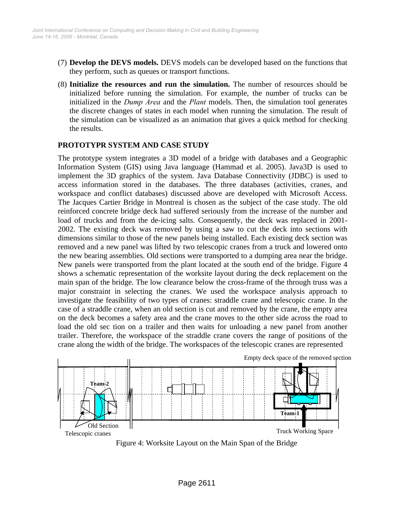- (7) **Develop the DEVS models.** DEVS models can be developed based on the functions that they perform, such as queues or transport functions.
- (8) **Initialize the resources and run the simulation.** The number of resources should be initialized before running the simulation. For example, the number of trucks can be initialized in the *Dump Area* and the *Plant* models. Then, the simulation tool generates the discrete changes of states in each model when running the simulation. The result of the simulation can be visualized as an animation that gives a quick method for checking the results.

## **PROTOTYPR SYSTEM AND CASE STUDY**

The prototype system integrates a 3D model of a bridge with databases and a Geographic Information System (GIS) using Java language (Hammad et al. 2005). Java3D is used to implement the 3D graphics of the system. Java Database Connectivity (JDBC) is used to access information stored in the databases. The three databases (activities, cranes, and workspace and conflict databases) discussed above are developed with Microsoft Access. The Jacques Cartier Bridge in Montreal is chosen as the subject of the case study. The old reinforced concrete bridge deck had suffered seriously from the increase of the number and load of trucks and from the de-icing salts. Consequently, the deck was replaced in 2001- 2002. The existing deck was removed by using a saw to cut the deck into sections with dimensions similar to those of the new panels being installed. Each existing deck section was removed and a new panel was lifted by two telescopic cranes from a truck and lowered onto the new bearing assemblies. Old sections were transported to a dumping area near the bridge. New panels were transported from the plant located at the south end of the bridge. Figure 4 shows a schematic representation of the worksite layout during the deck replacement on the main span of the bridge. The low clearance below the cross-frame of the through truss was a major constraint in selecting the cranes. We used the workspace analysis approach to investigate the feasibility of two types of cranes: straddle crane and telescopic crane. In the case of a straddle crane, when an old section is cut and removed by the crane, the empty area on the deck becomes a safety area and the crane moves to the other side across the road to load the old sec tion on a trailer and then waits for unloading a new panel from another trailer. Therefore, the workspace of the straddle crane covers the range of positions of the crane along the width of the bridge. The workspaces of the telescopic cranes are represented



Figure 4: Worksite Layout on the Main Span of the Bridge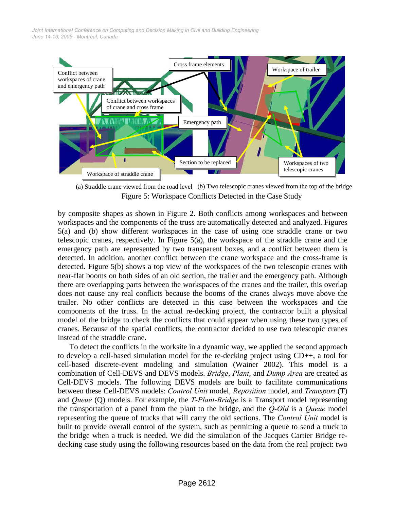

Figure 5: Workspace Conflicts Detected in the Case Study (a) Straddle crane viewed from the road level (b) Two telescopic cranes viewed from the top of the bridge

by composite shapes as shown in Figure 2. Both conflicts among workspaces and between workspaces and the components of the truss are automatically detected and analyzed. Figures 5(a) and (b) show different workspaces in the case of using one straddle crane or two telescopic cranes, respectively. In Figure 5(a), the workspace of the straddle crane and the emergency path are represented by two transparent boxes, and a conflict between them is detected. In addition, another conflict between the crane workspace and the cross-frame is detected. Figure 5(b) shows a top view of the workspaces of the two telescopic cranes with near-flat booms on both sides of an old section, the trailer and the emergency path. Although there are overlapping parts between the workspaces of the cranes and the trailer, this overlap does not cause any real conflicts because the booms of the cranes always move above the trailer. No other conflicts are detected in this case between the workspaces and the components of the truss. In the actual re-decking project, the contractor built a physical model of the bridge to check the conflicts that could appear when using these two types of cranes. Because of the spatial conflicts, the contractor decided to use two telescopic cranes instead of the straddle crane.

To detect the conflicts in the worksite in a dynamic way, we applied the second approach to develop a cell-based simulation model for the re-decking project using CD++, a tool for cell-based discrete-event modeling and simulation (Wainer 2002). This model is a combination of Cell-DEVS and DEVS models. *Bridge*, *Plant*, and *Dump Area* are created as Cell-DEVS models. The following DEVS models are built to facilitate communications between these Cell-DEVS models: *Control Unit* model, *Reposition* model, and *Transport* (T) and *Queue* (Q) models. For example, the *T-Plant-Bridge* is a Transport model representing the transportation of a panel from the plant to the bridge, and the *Q-Old* is a *Queue* model representing the queue of trucks that will carry the old sections. The *Control Unit* model is built to provide overall control of the system, such as permitting a queue to send a truck to the bridge when a truck is needed. We did the simulation of the Jacques Cartier Bridge redecking case study using the following resources based on the data from the real project: two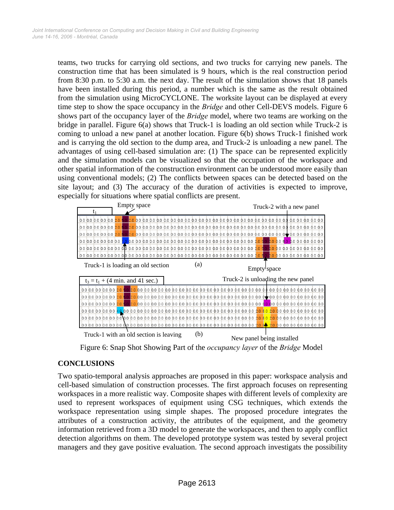teams, two trucks for carrying old sections, and two trucks for carrying new panels. The construction time that has been simulated is 9 hours, which is the real construction period from 8:30 p.m. to 5:30 a.m. the next day. The result of the simulation shows that 18 panels have been installed during this period, a number which is the same as the result obtained from the simulation using MicroCYCLONE. The worksite layout can be displayed at every time step to show the space occupancy in the *Bridge* and other Cell-DEVS models. Figure 6 shows part of the occupancy layer of the *Bridge* model, where two teams are working on the bridge in parallel. Figure 6(a) shows that Truck-1 is loading an old section while Truck-2 is coming to unload a new panel at another location. Figure 6(b) shows Truck-1 finished work and is carrying the old section to the dump area, and Truck-2 is unloading a new panel. The advantages of using cell-based simulation are: (1) The space can be represented explicitly and the simulation models can be visualized so that the occupation of the workspace and other spatial information of the construction environment can be understood more easily than using conventional models; (2) The conflicts between spaces can be detected based on the site layout; and (3) The accuracy of the duration of activities is expected to improve, especially for situations where spatial conflicts are present.

| t.                                                                                                                                                   |  |  |  |  |  |  |  |  |  |  |  |  | Truck-2 with a new panel |  |  |  |  |  |  |  |                                 |  |
|------------------------------------------------------------------------------------------------------------------------------------------------------|--|--|--|--|--|--|--|--|--|--|--|--|--------------------------|--|--|--|--|--|--|--|---------------------------------|--|
| $0.0$ 0.0 0.0 0.0 0.0 2.0 \$                                                                                                                         |  |  |  |  |  |  |  |  |  |  |  |  |                          |  |  |  |  |  |  |  |                                 |  |
| 0.0 0.0 0.0 0.0 0.0 2.0                                                                                                                              |  |  |  |  |  |  |  |  |  |  |  |  |                          |  |  |  |  |  |  |  |                                 |  |
| 0.0 0.0 0.0 0.0 0.0 2.0 5                                                                                                                            |  |  |  |  |  |  |  |  |  |  |  |  |                          |  |  |  |  |  |  |  |                                 |  |
|                                                                                                                                                      |  |  |  |  |  |  |  |  |  |  |  |  |                          |  |  |  |  |  |  |  |                                 |  |
|                                                                                                                                                      |  |  |  |  |  |  |  |  |  |  |  |  |                          |  |  |  |  |  |  |  | 2.0 0.0 0.0 0.0 0.0 0.0 0.0 0.0 |  |
|                                                                                                                                                      |  |  |  |  |  |  |  |  |  |  |  |  |                          |  |  |  |  |  |  |  |                                 |  |
| (a)<br>Truck-1 is loading an old section<br>Empty space<br>Truck-2 is unloading the new panel<br>$t_3 = t_1 + (4 \text{ min. and } 41 \text{ sec.})$ |  |  |  |  |  |  |  |  |  |  |  |  |                          |  |  |  |  |  |  |  |                                 |  |
|                                                                                                                                                      |  |  |  |  |  |  |  |  |  |  |  |  |                          |  |  |  |  |  |  |  |                                 |  |
| 0.0 0.0 0.0 0.0 0.0 2.0                                                                                                                              |  |  |  |  |  |  |  |  |  |  |  |  |                          |  |  |  |  |  |  |  |                                 |  |
| 0.0 0.0 0.0 0.0 0.0 2.0                                                                                                                              |  |  |  |  |  |  |  |  |  |  |  |  |                          |  |  |  |  |  |  |  |                                 |  |
| 0.0 0.0 0.0 0.0 0.0 2.0                                                                                                                              |  |  |  |  |  |  |  |  |  |  |  |  |                          |  |  |  |  |  |  |  |                                 |  |
|                                                                                                                                                      |  |  |  |  |  |  |  |  |  |  |  |  |                          |  |  |  |  |  |  |  |                                 |  |
|                                                                                                                                                      |  |  |  |  |  |  |  |  |  |  |  |  |                          |  |  |  |  |  |  |  |                                 |  |
|                                                                                                                                                      |  |  |  |  |  |  |  |  |  |  |  |  |                          |  |  |  |  |  |  |  |                                 |  |

Figure 6: Snap Shot Showing Part of the *occupancy layer* of the *Bridge* Model

#### **CONCLUSIONS**

Two spatio-temporal analysis approaches are proposed in this paper: workspace analysis and cell-based simulation of construction processes. The first approach focuses on representing workspaces in a more realistic way. Composite shapes with different levels of complexity are used to represent workspaces of equipment using CSG techniques, which extends the workspace representation using simple shapes. The proposed procedure integrates the attributes of a construction activity, the attributes of the equipment, and the geometry information retrieved from a 3D model to generate the workspaces, and then to apply conflict detection algorithms on them. The developed prototype system was tested by several project managers and they gave positive evaluation. The second approach investigats the possibility